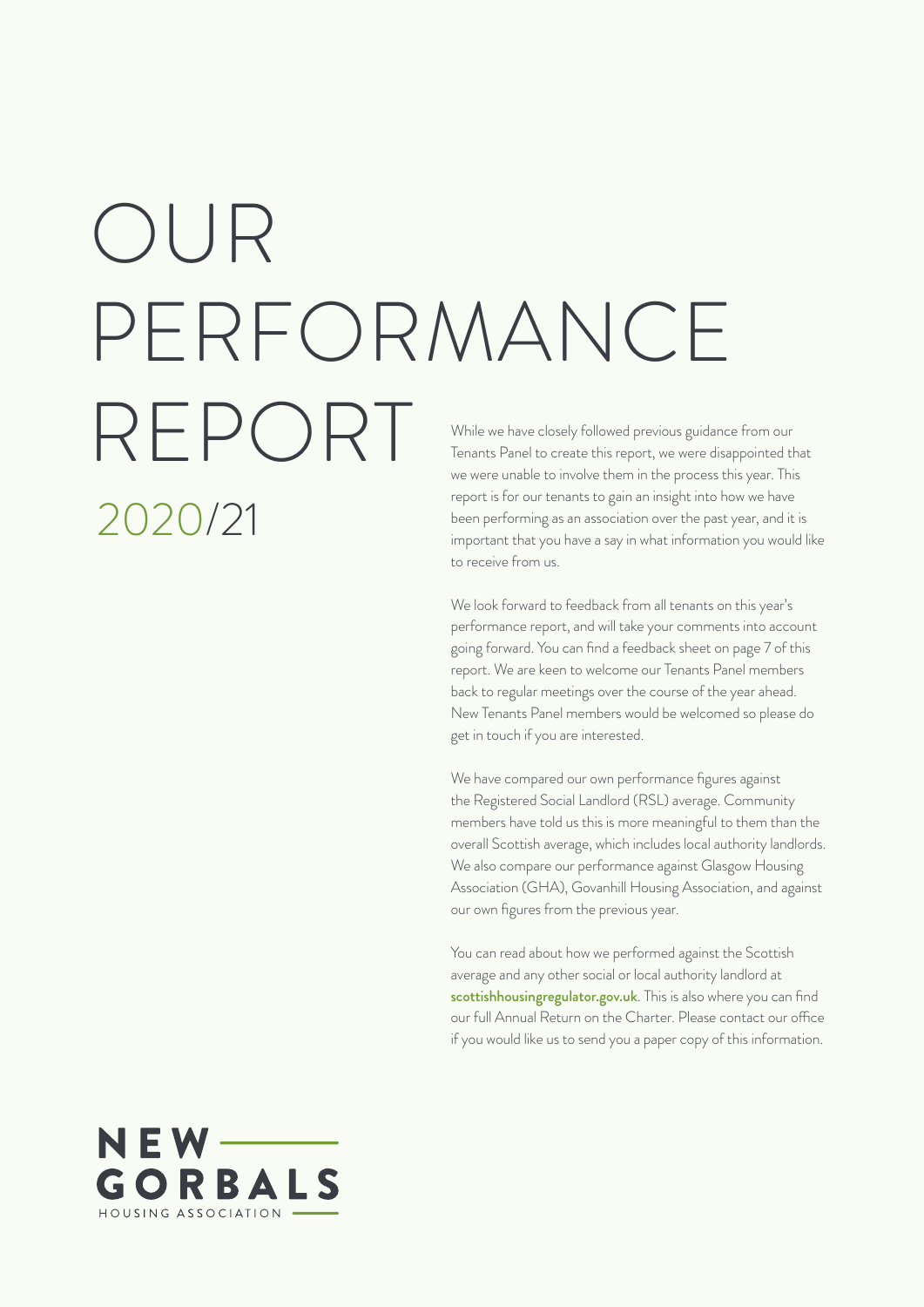# 2020/21 While we have closely followed previous guidance from our OUR PERFORMANCE REPORT

Tenants Panel to create this report, we were disappointed that we were unable to involve them in the process this year. This report is for our tenants to gain an insight into how we have been performing as an association over the past year, and it is important that you have a say in what information you would like to receive from us.

We look forward to feedback from all tenants on this year's performance report, and will take your comments into account going forward. You can find a feedback sheet on page 7 of this report. We are keen to welcome our Tenants Panel members back to regular meetings over the course of the year ahead. New Tenants Panel members would be welcomed so please do get in touch if you are interested.

We have compared our own performance figures against the Registered Social Landlord (RSL) average. Community members have told us this is more meaningful to them than the overall Scottish average, which includes local authority landlords. We also compare our performance against Glasgow Housing Association (GHA), Govanhill Housing Association, and against our own figures from the previous year.

You can read about how we performed against the Scottish average and any other social or local authority landlord at scottishhousingregulator.gov.uk. This is also where you can find our full Annual Return on the Charter. Please contact our office if you would like us to send you a paper copy of this information.

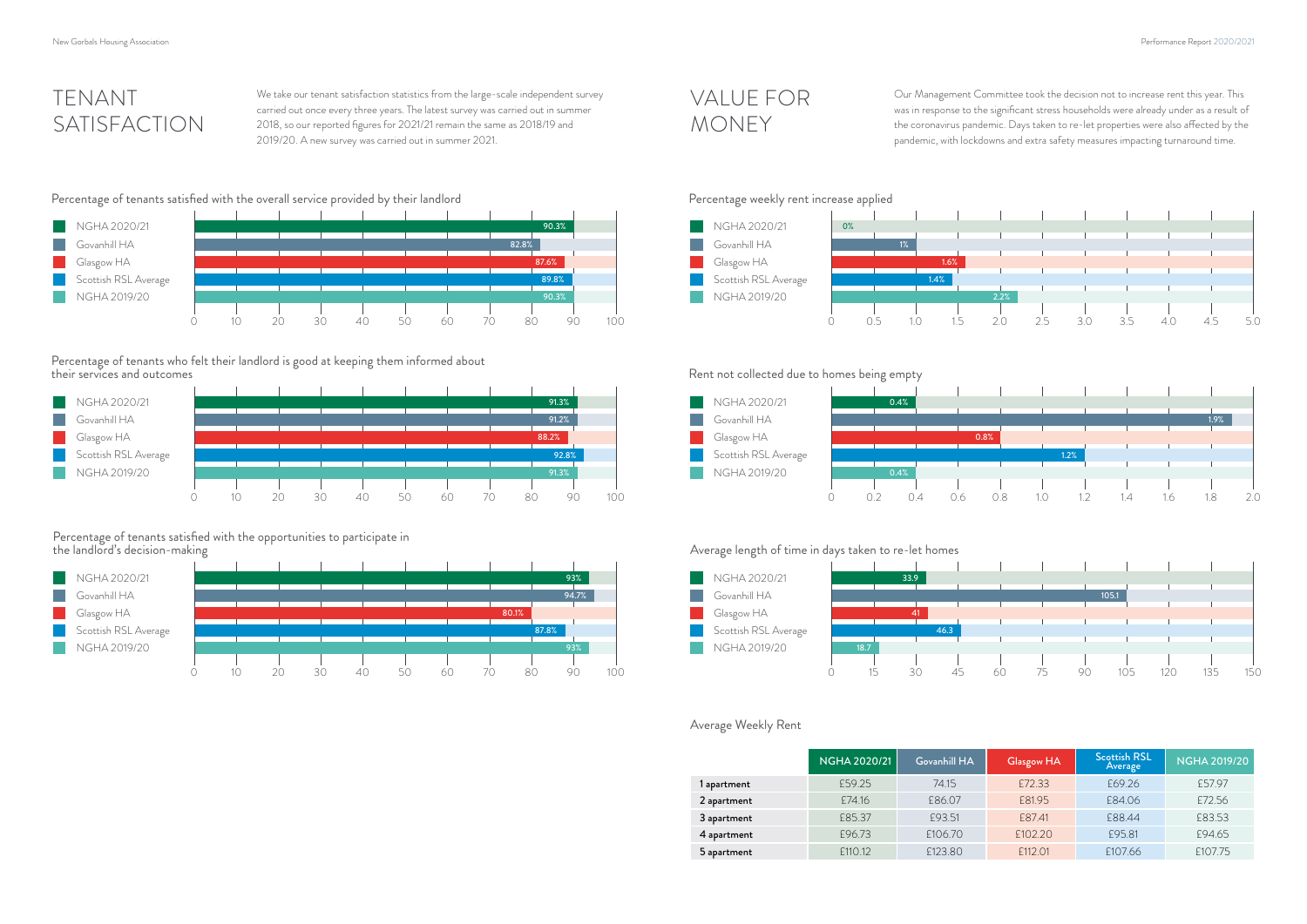

# TENANT SATISFACTION

# VALUE FOR MONEY





# Percentage of tenants who felt their landlord is good at keeping them informed about

# Percentage of tenants satisfied with the opportunities to participate in

### Average Weekly Rent





We take our tenant satisfaction statistics from the large-scale independent survey carried out once every three years. The latest survey was carried out in summer 2018, so our reported figures for 2021/21 remain the same as 2018/19 and 2019/20. A new survey was carried out in summer 2021.

### Percentage of tenants satisfied with the overall service provided by their landlord Percentage weekly rent increase applied

Our Management Committee took the decision not to increase rent this year. This was in response to the significant stress households were already under as a result of the coronavirus pandemic. Days taken to re-let properties were also affected by the pandemic, with lockdowns and extra safety measures impacting turnaround time.



**Tara** 

|             | <b>NGHA 2020/21</b> | Govanhill HA | <b>Glasgow HA</b> | <b>Scottish RSL</b><br>Average | <b>NGHA 2019/20</b> |
|-------------|---------------------|--------------|-------------------|--------------------------------|---------------------|
| 1 apartment | £59.25              | 74.15        | £72.33            | £69.26                         | £57.97              |
| 2 apartment | £74.16              | £86.07       | £81.95            | £84.06                         | £72.56              |
| 3 apartment | £85.37              | £93.51       | £87.41            | £88.44                         | £83.53              |
| 4 apartment | £96.73              | £106.70      | £102.20           | £95.81                         | £94.65              |
| 5 apartment | £110.12             | £123.80      | £112.01           | £107.66                        | £107.75             |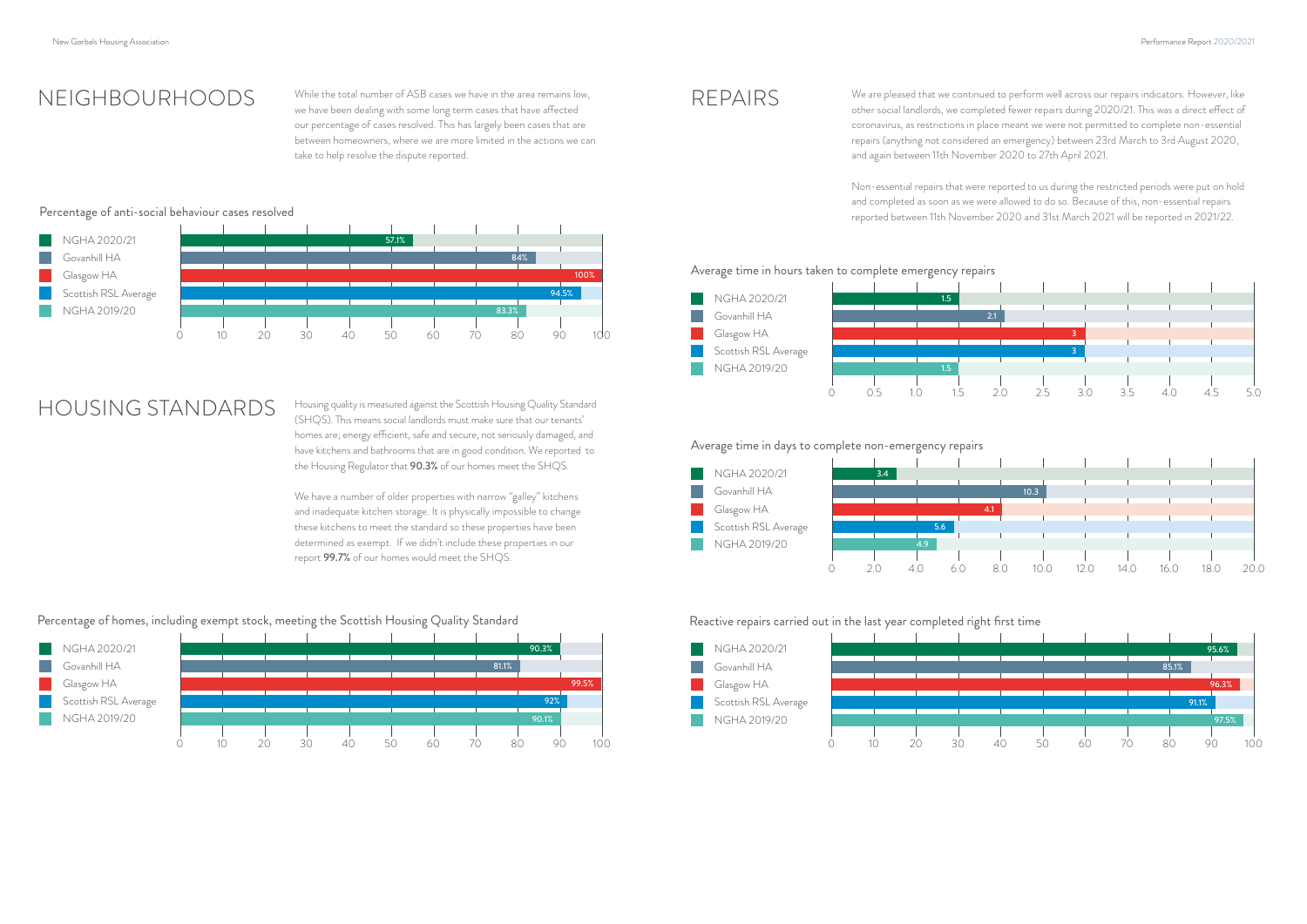



## REPAIRS

### Average time in hours taken to complete emergency repairs

Average time in days to complete non-emergency repairs





Reactive repairs carried out in the last year completed right first time

NEIGHBOURHOODS While the total number of ASB cases we have in the area remains low, we have been dealing with some long term cases that have affected our percentage of cases resolved. This has largely been cases that are between homeowners, where we are more limited in the actions we can take to help resolve the dispute reported.

We are pleased that we continued to perform well across our repairs indicators. However, like other social landlords, we completed fewer repairs during 2020/21. This was a direct effect of coronavirus, as restrictions in place meant we were not permitted to complete non-essential repairs (anything not considered an emergency) between 23rd March to 3rd August 2020, and again between 11th November 2020 to 27th April 2021.

Non-essential repairs that were reported to us during the restricted periods were put on hold and completed as soon as we were allowed to do so. Because of this, non-essential repairs reported between 11th November 2020 and 31st March 2021 will be reported in 2021/22.

### Percentage of anti-social behaviour cases resolved



HOUSING STANDARDS Housing quality is measured against the Scottish Housing Quality Standard (SHQS). This means social landlords must make sure that our tenants' homes are; energy efficient, safe and secure, not seriously damaged, and have kitchens and bathrooms that are in good condition. We reported to the Housing Regulator that 90.3% of our homes meet the SHQS.

> We have a number of older properties with narrow "galley" kitchens and inadequate kitchen storage. It is physically impossible to change these kitchens to meet the standard so these properties have been determined as exempt. If we didn't include these properties in our report 99.7% of our homes would meet the SHQS.



### Percentage of homes, including exempt stock, meeting the Scottish Housing Quality Standard

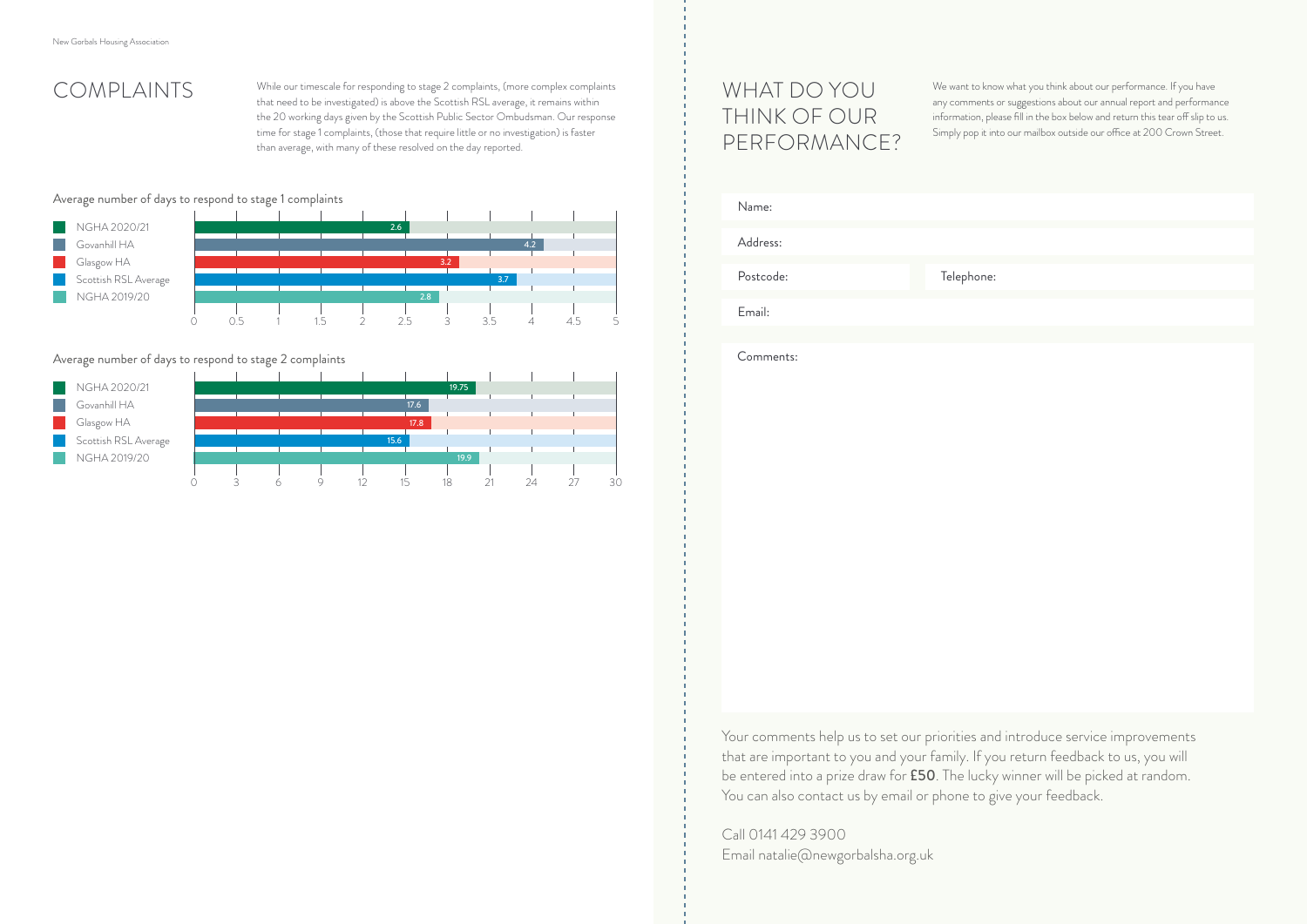### Average number of days to respond to stage 1 complaints

### Average number of days to respond to stage 2 complaints

# COMPLAINTS

# WHAT DO YOU THINK OF OUR PERFORMANCE?

We want to know what you think about our performance. If you have any comments or suggestions about our annual report and performance information, please fill in the box below and return this tear off slip to us. Simply pop it into our mailbox outside our office at 200 Crown Street.

Call 0141 429 3900 Email natalie@newgorbalsha.org.uk ne:

Your comments help us to set our priorities and introduce service improvements that are important to you and your family. If you return feedback to us, you will be entered into a prize draw for **£50**. The lucky winner will be picked at random. You can also contact us by email or phone to give your feedback.

| Name:     |          |
|-----------|----------|
| Address:  |          |
| Postcode: | Telephor |
| Email:    |          |
|           |          |
| Comments: |          |

While our timescale for responding to stage 2 complaints, (more complex complaints that need to be investigated) is above the Scottish RSL average, it remains within the 20 working days given by the Scottish Public Sector Ombudsman. Our response time for stage 1 complaints, (those that require little or no investigation) is faster than average, with many of these resolved on the day reported.



| NGHA 2020/21         |  |  |      | 19.75             |  |    |
|----------------------|--|--|------|-------------------|--|----|
| Govanhill HA         |  |  | 17.6 |                   |  |    |
| Glasgow HA           |  |  | 17.8 |                   |  |    |
| Scottish RSL Average |  |  | 15.6 |                   |  |    |
| NGHA 2019/20         |  |  |      | 19.9 <sup>°</sup> |  |    |
|                      |  |  |      |                   |  |    |
|                      |  |  |      | 18                |  | 30 |